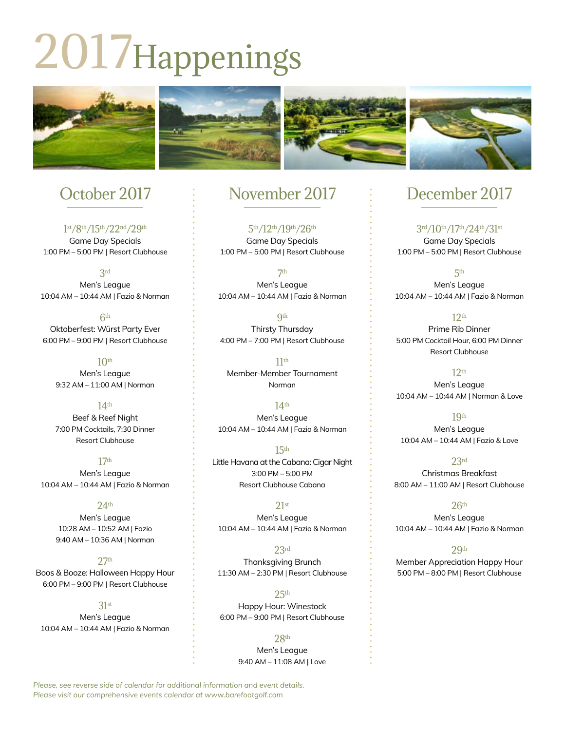# 2017Happenings



# October 2017

1st/8th/15th/22nd/29th Game Day Specials 1:00 PM – 5:00 PM | Resort Clubhouse

3rd Men's League 10:04 AM – 10:44 AM | Fazio & Norman

6th Oktoberfest: Würst Party Ever 6:00 PM – 9:00 PM | Resort Clubhouse

 $10<sup>th</sup>$ Men's League 9:32 AM – 11:00 AM | Norman

14th Beef & Reef Night 7:00 PM Cocktails, 7:30 Dinner Resort Clubhouse

17th Men's League 10:04 AM – 10:44 AM | Fazio & Norman

#### 24th

Men's League 10:28 AM – 10:52 AM | Fazio 9:40 AM – 10:36 AM | Norman

#### $27<sub>th</sub>$

Boos & Booze: Halloween Happy Hour 6:00 PM – 9:00 PM | Resort Clubhouse

31st Men's League 10:04 AM – 10:44 AM | Fazio & Norman

# November 2017

5th/12th/19th/26th Game Day Specials 1:00 PM – 5:00 PM | Resort Clubhouse

7th Men's League 10:04 AM – 10:44 AM | Fazio & Norman

**9th** Thirsty Thursday 4:00 PM – 7:00 PM | Resort Clubhouse

11th Member-Member Tournament Norman

14th Men's League 10:04 AM – 10:44 AM | Fazio & Norman

15th Little Havana at the Cabana: Cigar Night 3:00 PM – 5:00 PM Resort Clubhouse Cabana

21st Men's League 10:04 AM – 10:44 AM | Fazio & Norman

23rd Thanksgiving Brunch 11:30 AM – 2:30 PM | Resort Clubhouse

 $25<sup>th</sup>$ Happy Hour: Winestock 6:00 PM – 9:00 PM | Resort Clubhouse

> 28th Men's League 9:40 AM – 11:08 AM | Love

# December 2017

3rd/10th/17th/24th/31st Game Day Specials 1:00 PM – 5:00 PM | Resort Clubhouse

5th Men's League 10:04 AM – 10:44 AM | Fazio & Norman

 $12<sub>th</sub>$ Prime Rib Dinner 5:00 PM Cocktail Hour, 6:00 PM Dinner Resort Clubhouse

12th Men's League 10:04 AM – 10:44 AM | Norman & Love

19th Men's League 10:04 AM – 10:44 AM | Fazio & Love

23rd Christmas Breakfast 8:00 AM – 11:00 AM | Resort Clubhouse

 $26<sup>th</sup>$ Men's League 10:04 AM – 10:44 AM | Fazio & Norman

 $29<sub>th</sub>$ Member Appreciation Happy Hour 5:00 PM – 8:00 PM | Resort Clubhouse

*Please, see reverse side of calendar for additional information and event details. Please visit our comprehensive events calendar at www.barefootgolf.com*